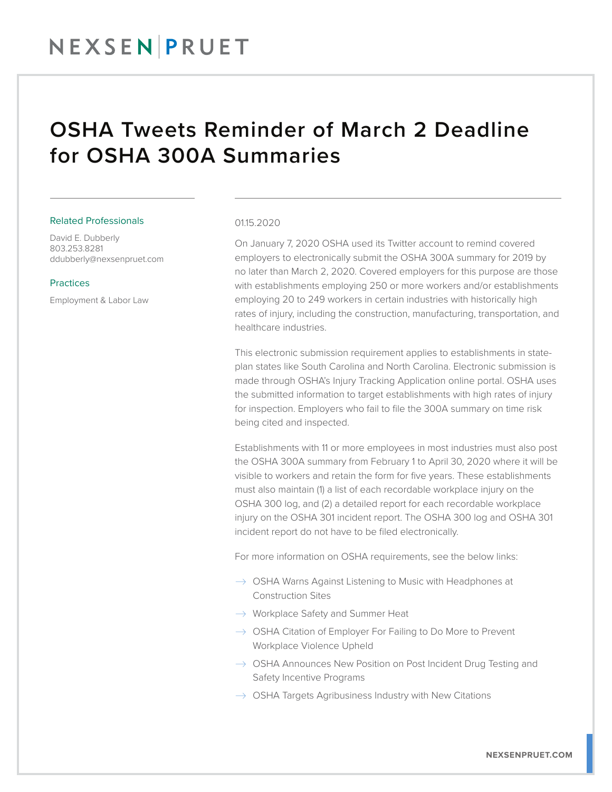## NEXSEN PRUET

### OSHA Tweets Reminder of March 2 Deadline for OSHA 300A Summaries

#### Related Professionals

David E. Dubberly 803.253.8281 ddubberly@nexsenpruet.com

#### Practices

Employment & Labor Law

#### 01.15.2020

On January 7, 2020 OSHA used its Twitter account to remind covered employers to electronically submit the OSHA 300A summary for 2019 by no later than March 2, 2020. Covered employers for this purpose are those with establishments employing 250 or more workers and/or establishments employing 20 to 249 workers in certain industries with historically high rates of injury, including the construction, manufacturing, transportation, and healthcare industries.

This electronic submission requirement applies to establishments in stateplan states like South Carolina and North Carolina. Electronic submission is made through OSHA's Injury Tracking Application online portal. OSHA uses the submitted information to target establishments with high rates of injury for inspection. Employers who fail to file the 300A summary on time risk being cited and inspected.

Establishments with 11 or more employees in most industries must also post the OSHA 300A summary from February 1 to April 30, 2020 where it will be visible to workers and retain the form for five years. These establishments must also maintain (1) a list of each recordable workplace injury on the OSHA 300 log, and (2) a detailed report for each recordable workplace injury on the OSHA 301 incident report. The OSHA 300 log and OSHA 301 incident report do not have to be filed electronically.

For more information on OSHA requirements, see the below links:

- $\rightarrow$  OSHA Warns Against Listening to Music with Headphones at Construction Sites
- $\rightarrow$  Workplace Safety and Summer Heat
- $\rightarrow$  OSHA Citation of Employer For Failing to Do More to Prevent Workplace Violence Upheld
- $\rightarrow$  OSHA Announces New Position on Post Incident Drug Testing and Safety Incentive Programs
- $\rightarrow$  OSHA Targets Agribusiness Industry with New Citations